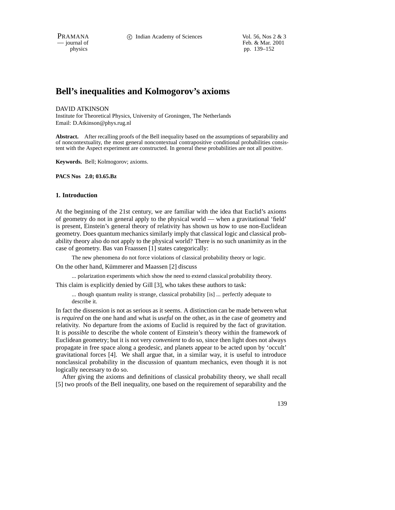PRAMANA 
<sup>c</sup> Indian Academy of Sciences Vol. 56, Nos 2 & 3<br>  $-$  journal of Feb. & Mar. 2001 Feb. & Mar. 2001 physics pp. 139–152

# **Bell's inequalities and Kolmogorov's axioms**

#### DAVID ATKINSON

Institute for Theoretical Physics, University of Groningen, The Netherlands Email: D.Atkinson@phys.rug.nl

**Abstract.** After recalling proofs of the Bell inequality based on the assumptions of separability and of noncontextuality, the most general noncontextual contrapositive conditional probabilities consistent with the Aspect experiment are constructed. In general these probabilities are not all positive.

**Keywords.** Bell; Kolmogorov; axioms.

**PACS Nos 2.0; 03.65.Bz**

## **1. Introduction**

At the beginning of the 21st century, we are familiar with the idea that Euclid's axioms of geometry do not in general apply to the physical world — when a gravitational 'field' is present, Einstein's general theory of relativity has shown us how to use non-Euclidean geometry. Does quantum mechanics similarly imply that classical logic and classical probability theory also do not apply to the physical world? There is no such unanimity as in the case of geometry. Bas van Fraassen [1] states categorically:

The new phenomena do not force violations of classical probability theory or logic.

On the other hand, Kümmerer and Maassen [2] discuss

... polarization experiments which show the need to extend classical probability theory.

This claim is explicitly denied by Gill [3], who takes these authors to task:

... though quantum reality is strange, classical probability [is] ... perfectly adequate to describe it.

In fact the dissension is not as serious as it seems. A distinction can be made between what is *required* on the one hand and what is *useful* on the other, as in the case of geometry and relativity. No departure from the axioms of Euclid is required by the fact of gravitation. It is *possible* to describe the whole content of Einstein's theory within the framework of Euclidean geometry; but it is not very *convenient* to do so, since then light does not always propagate in free space along a geodesic, and planets appear to be acted upon by 'occult' gravitational forces [4]. We shall argue that, in a similar way, it is useful to introduce nonclassical probability in the discussion of quantum mechanics, even though it is not logically necessary to do so.

After giving the axioms and definitions of classical probability theory, we shall recall [5] two proofs of the Bell inequality, one based on the requirement of separability and the

139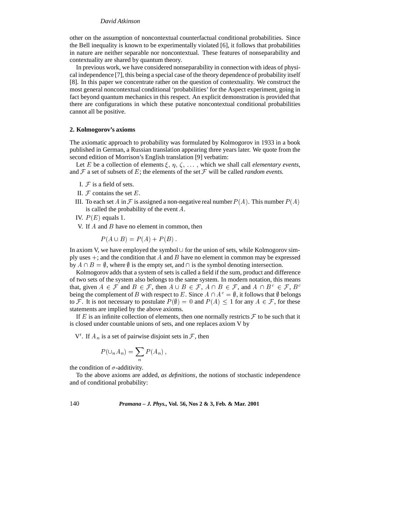other on the assumption of noncontextual counterfactual conditional probabilities. Since the Bell inequality is known to be experimentally violated [6], it follows that probabilities in nature are neither separable nor noncontextual. These features of nonseparability and contextuality are shared by quantum theory.

In previous work, we have considered nonseparability in connection with ideas of physical independence [7], this being a special case of the theory dependence of probability itself [8]. In this paper we concentrate rather on the question of contextuality. We construct the most general noncontextual conditional 'probabilities' for the Aspect experiment, going in fact beyond quantum mechanics in this respect. An explicit demonstration is provided that there are configurations in which these putative noncontextual conditional probabilities cannot all be positive.

#### **2. Kolmogorov's axioms**

The axiomatic approach to probability was formulated by Kolmogorov in 1933 in a book published in German, a Russian translation appearing three years later. We quote from the second edition of Morrison's English translation [9] verbatim:

Let E be a collection of elements  $\xi$ ,  $\eta$ ,  $\zeta$ , ..., which we shall call *elementary events*, and  $\mathcal F$  a set of subsets of E; the elements of the set  $\mathcal F$  will be called *random events*.

- I.  $F$  is a field of sets.
- II.  $F$  contains the set  $E$ .
- III. To each set A in F is assigned a non-negative real number  $P(A)$ . This number  $P(A)$ is called the probability of the event A.
- IV.  $P(E)$  equals 1.

V. If  $A$  and  $B$  have no element in common, then

$$
P(A \cup B) = P(A) + P(B).
$$

In axiom V, we have employed the symbol  $\cup$  for the union of sets, while Kolmogorov simply uses  $+$ ; and the condition that A and B have no element in common may be expressed by  $A \cap B = \emptyset$ , where  $\emptyset$  is the empty set, and  $\cap$  is the symbol denoting intersection.

Kolmogorov adds that a system of sets is called a field if the sum, product and difference of two sets of the system also belongs to the same system. In modern notation, this means that, given  $A \in \mathcal{F}$  and  $B \in \mathcal{F}$ , then  $A \cup B \in \mathcal{F}$ ,  $A \cap B \in \mathcal{F}$ , and  $A \cap B^c \in \mathcal{F}$ ,  $B^c$ being the complement of B with respect to E. Since  $A \cap A^c = \emptyset$ , it follows that  $\emptyset$  belongs to F. It is not necessary to postulate  $P(\emptyset)=0$  and  $P(A) \leq 1$  for any  $A \in \mathcal{F}$ , for these statements are implied by the above axioms.

If  $E$  is an infinite collection of elements, then one normally restricts  $\mathcal F$  to be such that it is closed under countable unions of sets, and one replaces axiom V by

V'. If  $A_n$  is a set of pairwise disjoint sets in F, then

$$
P(\cup_n A_n) = \sum_n P(A_n) ,
$$

the condition of  $\sigma$ -additivity.

To the above axioms are added, *as definitions*, the notions of stochastic independence and of conditional probability: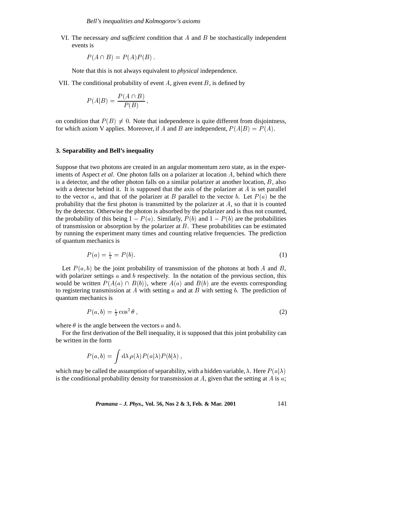VI. The necessary *and sufficient* condition that <sup>A</sup> and <sup>B</sup> be stochastically independent events is

$$
P(A \cap B) = P(A)P(B).
$$

Note that this is not always equivalent to *physical* independence.

VII. The conditional probability of event  $A$ , given event  $B$ , is defined by

$$
P(A|B) = \frac{P(A \cap B)}{P(B)},
$$

on condition that  $P(B) \neq 0$ . Note that independence is quite different from disjointness, for which axiom V applies. Moreover, if A and B are independent,  $P(A|B) = P(A)$ .

## **3. Separability and Bell's inequality**

Suppose that two photons are created in an angular momentum zero state, as in the experiments of Aspect *et al*. One photon falls on a polarizer at location <sup>A</sup>, behind which there is a detector, and the other photon falls on a similar polarizer at another location,  $B$ , also with a detector behind it. It is supposed that the axis of the polarizer at  $A$  is set parallel to the vector a, and that of the polarizer at B parallel to the vector b. Let  $P(a)$  be the probability that the first photon is transmitted by the polarizer at  $A$ , so that it is counted by the detector. Otherwise the photon is absorbed by the polarizer and is thus not counted, the probability of this being  $1 - P(a)$ . Similarly,  $P(b)$  and  $1 - P(b)$  are the probabilities of transmission or absorption by the polarizer at  $B$ . These probabilities can be estimated by running the experiment many times and counting relative frequencies. The prediction of quantum mechanics is

$$
P(a) = \frac{1}{2} = P(b). \tag{1}
$$

Let  $P(a, b)$  be the joint probability of transmission of the photons at both A and B, with polarizer settings  $a$  and  $b$  respectively. In the notation of the previous section, this would be written  $P(A(a) \cap B(b))$ , where  $A(a)$  and  $B(b)$  are the events corresponding to registering transmission at A with setting a and at B with setting b. The prediction of quantum mechanics is

$$
P(a,b) = \frac{1}{2}\cos^2\theta\,,\tag{2}
$$

where  $\theta$  is the angle between the vectors a and b.

For the first derivation of the Bell inequality, it is supposed that this joint probability can be written in the form

$$
P(a,b) = \int d\lambda \, \rho(\lambda) P(a|\lambda) P(b|\lambda) \,,
$$

which may be called the assumption of separability, with a hidden variable,  $\lambda$ . Here  $P(a|\lambda)$ is the conditional probability density for transmission at  $A$ , given that the setting at  $A$  is  $a$ ;

*Pramana – J. Phys.,* **Vol. 56, Nos 2 & 3, Feb. & Mar. 2001** 141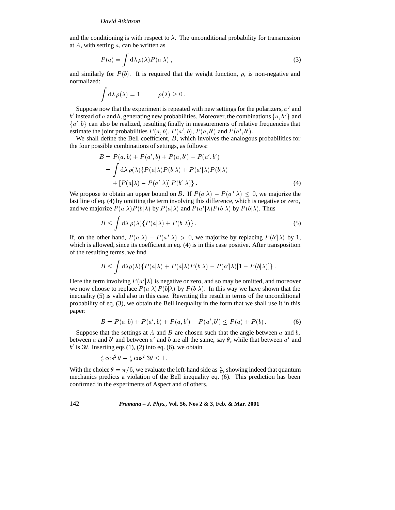and the conditioning is with respect to  $\lambda$ . The unconditional probability for transmission at  $A$ , with setting  $a$ , can be written as

$$
P(a) = \int d\lambda \, \rho(\lambda) P(a|\lambda) \,, \tag{3}
$$

and similarly for  $P(b)$ . It is required that the weight function,  $\rho$ , is non-negative and normalized:

$$
\int d\lambda \, \rho(\lambda) = 1 \qquad \rho(\lambda) \ge 0 \, .
$$

Suppose now that the experiment is repeated with new settings for the polarizers,  $a'$  and b' instead of a and b, generating new probabilities. Moreover, the combinations  $\{a, b'\}$  and  ${a', b}$  can also be realized, resulting finally in measurements of relative frequencies that estimate the joint probabilities  $P(a, b)$ ,  $P(a', b)$ ,  $P(a, b')$  and  $P(a', b')$ .

We shall define the Bell coefficient,  $B$ , which involves the analogous probabilities for the four possible combinations of settings, as follows:

$$
B = P(a, b) + P(a', b) + P(a, b') - P(a', b')
$$
  
= 
$$
\int d\lambda \rho(\lambda) \{ P(a|\lambda) P(b|\lambda) + P(a'|\lambda) P(b|\lambda)
$$
  
+ 
$$
[P(a|\lambda) - P(a'|\lambda)] P(b'|\lambda) \}.
$$
 (4)

We propose to obtain an upper bound on B. If  $P(a|\lambda) - P(a'|\lambda) \leq 0$ , we majorize the last line of eq. (4) by omitting the term involving this difference, which is negative or zero, and we majorize  $P(a|\lambda)P(b|\lambda)$  by  $P(a|\lambda)$  and  $P(a'|\lambda)P(b|\lambda)$  by  $P(b|\lambda)$ . Thus

$$
B \le \int d\lambda \, \rho(\lambda) \{ P(a|\lambda) + P(b|\lambda) \} \,. \tag{5}
$$

If, on the other hand,  $P(a|\lambda) - P(a'|\lambda) > 0$ , we majorize by replacing  $P(b'|\lambda)$  by 1, which is allowed, since its coefficient in eq. (4) is in this case positive. After transposition of the resulting terms, we find

$$
B \leq \int d\lambda \rho(\lambda) \{ P(a|\lambda) + P(a|\lambda) P(b|\lambda) - P(a'|\lambda) [1 - P(b|\lambda)] \}.
$$

Here the term involving  $P(a'|\lambda)$  is negative or zero, and so may be omitted, and moreover we now choose to replace  $P(a|\lambda)P(b|\lambda)$  by  $P(b|\lambda)$ . In this way we have shown that the inequality (5) is valid also in this case. Rewriting the result in terms of the unconditional probability of eq. (3), we obtain the Bell inequality in the form that we shall use it in this paper:

$$
B = P(a, b) + P(a', b) + P(a, b') - P(a', b') \le P(a) + P(b).
$$
 (6)

Suppose that the settings at A and B are chosen such that the angle between  $a$  and  $b$ , between a and b' and between a' and b are all the same, say  $\theta$ , while that between a' and  $b'$  is 3 $\theta$ . Inserting eqs (1), (2) into eq. (6), we obtain

$$
\frac{3}{2}\cos^2\theta - \frac{1}{2}\cos^23\theta \le 1
$$

With the choice  $\theta = \pi/6$ , we evaluate the left-hand side as  $\frac{9}{8}$ , showing indeed that quantum mechanics predicts a violation of the Bell inequality eq. (6). This prediction has been confirmed in the experiments of Aspect and of others.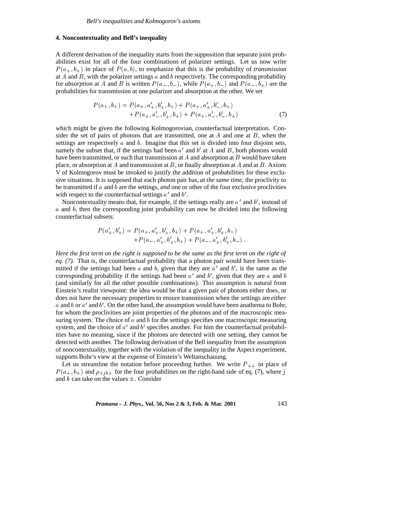## **4. Noncontextuality and Bell's inequality**

A different derivation of the inequality starts from the supposition that separate joint probabilities exist for all of the four combinations of polarizer settings. Let us now write  $P(a_+, b_+)$  in place of  $P(a, b)$ , to emphasize that this is the probability of *transmission* at A and B, with the polarizer settings  $a$  and  $b$  respectively. The corresponding probability for *absorption* at A and B is written  $P(a_-, b_-)$ , while  $P(a_+, b_-)$  and  $P(a_-, b_+)$  are the probabilities for transmission at one polarizer and absorption at the other. We set

$$
P(a_+,b_+) = P(a_+,a'_+,b'_+,b_+) + P(a_+,a'_+,b'_-,b_+)+P(a_+,a'_-,b'_+,b_+) + P(a_+,a'_-,b'_-,b_+) \tag{7}
$$

which might be given the following Kolmogorovian, counterfactual interpretation. Consider the set of pairs of photons that are transmitted, one at  $A$  and one at  $B$ , when the settings are respectively  $a$  and  $b$ . Imagine that this set is divided into four disjoint sets, namely the subset that, if the settings had been  $a'$  and  $b'$  at A and B, both photons would have been transmitted, or such that transmission at A and absorption at B would have taken place, or absorption at A and transmission at B, or finally absorption at A and at B. Axiom V of Kolmogorov must be invoked to justify the addition of probabilities for these exclusive situations. It is supposed that each photon pair has, *at the same time,* the proclivity to be transmitted if a and b are the settings, *and* one or other of the four exclusive proclivities with respect to the counterfactual settings  $a'$  and  $b'$ .

Noncontextuality means that, for example, if the settings really are  $a'$  and  $b'$ , instead of  $a$  and  $b$ , then the corresponding joint probability can now be divided into the following counterfactual subsets:

$$
P(a'_+,b'_+) = P(a_+,a'_+,b'_+,b_+) + P(a_+,a'_+,b'_+,b_-)
$$
  
+
$$
P(a_-,a'_+,b'_+,b_+) + P(a_-,a'_+,b'_+,b_-).
$$

*Here the first term on the right is supposed to be the same as the first term on the right of eq. (7).* That is, the counterfactual probability that a photon pair would have been transmitted if the settings had been a and b, given that they are  $a'$  and b', is the same as the corresponding probability if the settings had been  $a'$  and  $b'$ , given that they are a and b (and similarly for all the other possible combinations). This assumption is natural from Einstein's realist viewpoint: the idea would be that a given pair of photons either does, or does not have the necessary properties to ensure transmission when the settings are *either* a and b or  $a'$  and b'. On the other hand, the assumption would have been anathema to Bohr, for whom the proclivities are joint properties of the photons and of the macroscopic measuring system. The choice of  $a$  and  $b$  for the settings specifies one macroscopic measuring system, and the choice of  $a'$  and  $b'$  specifies another. For him the counterfactual probabilities have no meaning, since if the photons are detected with one setting, they cannot be detected with another. The following derivation of the Bell inequality from the assumption of noncontextuality, together with the violation of the inequality in the Aspect experiment, supports Bohr's view at the expense of Einstein's Weltanschauung.

Let us streamline the notation before proceeding further. We write  $P_{++}$  in place of  $P(a_+, b_+)$  and  $\rho_{+jk+}$  for the four probabilities on the right-hand side of eq. (7), where j and k can take on the values  $\pm$ . Consider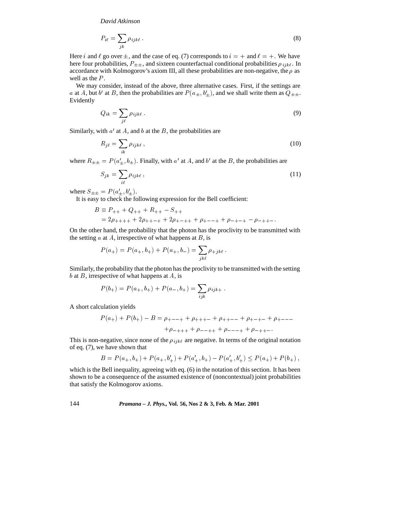$$
P_{i\ell} = \sum_{jk} \rho_{ijk\ell} \,. \tag{8}
$$

Here i and  $\ell$  go over  $\pm$ , and the case of eq. (7) corresponds to  $i = +$  and  $\ell = +$ . We have here four probabilities,  $P_{\pm\pm}$ , and sixteen counterfactual conditional probabilities  $\rho_{ijk\ell}$ . In accordance with Kolmogorov's axiom III, all these probabilities are non-negative, the  $\rho$  as well as the  $P$ .

We may consider, instead of the above, three alternative cases. First, if the settings are a at A, but b' at B, then the probabilities are  $P(a_{\pm}, b'_{+})$ , and we shall write them as  $Q_{\pm\pm}$ . Evidently

$$
Q_{ik} = \sum_{j\ell} \rho_{ijk\ell} \,. \tag{9}
$$

Similarly, with  $a'$  at A, and b at the B, the probabilities are

$$
R_{j\ell} = \sum_{ik} \rho_{ijk\ell} \,, \tag{10}
$$

where  $R_{\pm\pm} = P(a'_+, b_{\pm})$ . Finally, with a' at A, and b' at the B, the probabilities are

$$
S_{jk} = \sum_{i\ell} \rho_{ijk\ell} \,, \tag{11}
$$

where  $S_{\pm\pm} = P(a'_{\pm}, b'_{\pm}).$ 

It is easy to check the following expression for the Bell coefficient:

$$
B \equiv P_{++} + Q_{++} + R_{++} - S_{++}
$$
  
= 2\rho\_{+++} + 2\rho\_{+++} + 2\rho\_{+-++} + \rho\_{+--+} + \rho\_{-+-+} - \rho\_{-++-}.

On the other hand, the probability that the photon has the proclivity to be transmitted with the setting  $a$  at  $A$ , irrespective of what happens at  $B$ , is

$$
P(a_{+}) = P(a_{+}, b_{+}) + P(a_{+}, b_{-}) = \sum_{jk\ell} \rho_{+jk\ell}.
$$

Similarly, the probability that the photon has the proclivity to be transmitted with the setting  $b$  at  $B$ , irrespective of what happens at  $A$ , is

$$
P(b_{+}) = P(a_{+}, b_{+}) + P(a_{-}, b_{+}) = \sum_{ijk} \rho_{ijk+}.
$$

A short calculation yields

$$
P(a_{+}) + P(b_{+}) - B = \rho_{+--+} + \rho_{++-} + \rho_{++-} + \rho_{+-+} + \rho_{+---}
$$
  
+ $\rho_{-+++} + \rho_{--+} + \rho_{---} + \rho_{-++-}.$ 

This is non-negative, since none of the  $\rho_{ijk\ell}$  are negative. In terms of the original notation of eq. (7), we have shown that

$$
B = P(a_+, b_+) + P(a_+, b'_+) + P(a'_+, b_+) - P(a'_+, b'_+) \le P(a_+) + P(b_+),
$$

which is the Bell inequality, agreeing with eq. (6) in the notation of this section. It has been shown to be a consequence of the assumed existence of (noncontextual) joint probabilities that satisfy the Kolmogorov axioms.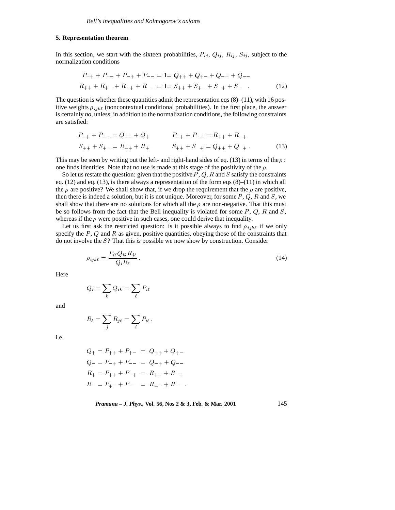## **5. Representation theorem**

In this section, we start with the sixteen probabilities,  $P_{ij}$ ,  $Q_{ij}$ ,  $R_{ij}$ ,  $S_{ij}$ , subject to the normalization conditions

$$
P_{++} + P_{+-} + P_{-+} + P_{--} = 1 = Q_{++} + Q_{+-} + Q_{-+} + Q_{--}
$$
  

$$
R_{++} + R_{+-} + R_{-+} + R_{--} = 1 = S_{++} + S_{+-} + S_{-+} + S_{--}.
$$
 (12)

The question is whether these quantities admit the representation eqs  $(8)$ – $(11)$ , with 16 positive weights  $\rho_{ijk\ell}$  (noncontextual conditional probabilities). In the first place, the answer is certainly *no*, unless, in addition to the normalization conditions, the following constraints are satisfied:

$$
P_{++} + P_{+-} = Q_{++} + Q_{+-} \qquad P_{++} + P_{-+} = R_{++} + R_{-+}
$$
  

$$
S_{++} + S_{+-} = R_{++} + R_{+-} \qquad S_{++} + S_{-+} = Q_{++} + Q_{-+}.
$$
 (13)

This may be seen by writing out the left- and right-hand sides of eq. (13) in terms of the  $\rho$ : one finds identities. Note that no use is made at this stage of the positivity of the  $\rho$ .

So let us restate the question: given that the positive  $P, Q, R$  and S satisfy the constraints eq. (12) and eq. (13), is there always a representation of the form eqs (8)–(11) in which all the  $\rho$  are positive? We shall show that, if we drop the requirement that the  $\rho$  are positive, then there is indeed a solution, but it is not unique. Moreover, for some  $P$ ,  $Q$ ,  $R$  and  $S$ , we shall show that there are no solutions for which all the  $\rho$  are non-negative. That this must be so follows from the fact that the Bell inequality is violated for some  $P$ ,  $Q$ ,  $R$  and  $S$ , whereas if the  $\rho$  were positive in such cases, one could derive that inequality.

Let us first ask the restricted question: is it possible always to find  $\rho_{ijk\ell}$  if we only specify the  $P$ ,  $Q$  and  $R$  as given, positive quantities, obeying those of the constraints that do not involve the S? That this *is* possible we now show by construction. Consider

$$
\rho_{ijk\ell} = \frac{P_{i\ell} Q_{ik} R_{j\ell}}{Q_i R_\ell} \,. \tag{14}
$$

Here

$$
Q_i = \sum_k Q_{ik} = \sum_\ell P_{i\ell}
$$

and

$$
R_{\ell} = \sum_j R_{j\ell} = \sum_i P_{i\ell} ,
$$

i.e.

$$
Q_{+} = P_{++} + P_{+-} = Q_{++} + Q_{+-}
$$
  
\n
$$
Q_{-} = P_{-+} + P_{--} = Q_{-+} + Q_{--}
$$
  
\n
$$
R_{+} = P_{++} + P_{-+} = R_{++} + R_{-+}
$$
  
\n
$$
R_{-} = P_{+-} + P_{--} = R_{+-} + R_{--}.
$$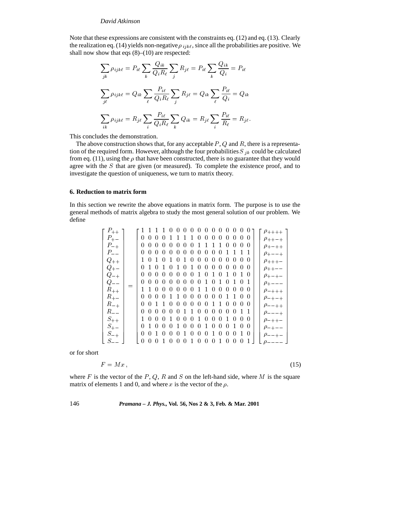Note that these expressions are consistent with the constraints eq. (12) and eq. (13). Clearly the realization eq. (14) yields non-negative  $\rho_{ijk\ell}$ , since all the probabilities are positive. We shall now show that eqs (8)–(10) are respected:

$$
\sum_{jk} \rho_{ijk\ell} = P_{i\ell} \sum_{k} \frac{Q_{ik}}{Q_i R_\ell} \sum_{j} R_{j\ell} = P_{i\ell} \sum_{k} \frac{Q_{ik}}{Q_i} = P_{i\ell}
$$

$$
\sum_{j\ell} \rho_{ijk\ell} = Q_{ik} \sum_{\ell} \frac{P_{i\ell}}{Q_i R_\ell} \sum_{j} R_{j\ell} = Q_{ik} \sum_{\ell} \frac{P_{i\ell}}{Q_i} = Q_{ik}
$$

$$
\sum_{ik} \rho_{ijk\ell} = R_{j\ell} \sum_{i} \frac{P_{i\ell}}{Q_i R_\ell} \sum_{k} Q_{ik} = R_{j\ell} \sum_{i} \frac{P_{i\ell}}{R_\ell} = R_{j\ell}.
$$

This concludes the demonstration.

The above construction shows that, for any acceptable  $P$ ,  $Q$  and  $R$ , there is a representation of the required form. However, although the four probabilities  $S_{jk}$  could be calculated from eq. (11), using the  $\rho$  that have been constructed, there is no guarantee that they would agree with the S that are given (or measured). To complete the existence proof, and to investigate the question of uniqueness, we turn to matrix theory.

#### **6. Reduction to matrix form**

In this section we rewrite the above equations in matrix form. The purpose is to use the general methods of matrix algebra to study the most general solution of our problem. We define

| $P_{++}$                | 1 1 1 1 0 0 0 0 0 0 0<br>000<br>0 <sub>0</sub><br>$\rho_{+++}$                                                                                                                             |
|-------------------------|--------------------------------------------------------------------------------------------------------------------------------------------------------------------------------------------|
| $P_{+-}$                | $0\;\;0\;\;0\;\;0$<br>$0\;\;0\;\;0$<br>$\left( \right)$<br>$\left( \right)$<br>$\cup$<br>$\theta$<br>$\rho_{++-+}$                                                                         |
| $P_{-+}$                | $0\; 0\; 0\; 0\; 0\; 0\; 0\; 0$<br>10<br>000<br>$\rho_{+-++}$                                                                                                                              |
|                         | 0<br>$\theta$<br>$\left( \right)$<br>$\left( \right)$<br>$\theta$<br>$\cup$<br>$\cup$<br>$\cup$<br>$\rho_{+ - - +}$                                                                        |
| $\frac{P_{--}}{Q_{++}}$ | $\cup$<br>$\left( \right)$<br>$\left( \right)$<br>(1)<br>$\cup$<br>$\left( \right)$<br>$\rho_{+++}$                                                                                        |
| $Q_{+-}$                | 0 1 0 1 0 1 0 1 0<br>000<br>- 0<br>$\cup$<br>0 <sub>0</sub><br>$\rho_{++--}$                                                                                                               |
| $Q_{-+}$                | $\overline{0}$<br>0 <sub>0</sub><br>0<br>0 <sub>0</sub><br>$\Omega$<br>-0<br>$\left( \right)$<br>$\Omega$<br>10<br>-1<br>$\rho_{+-+-}$                                                     |
| $Q_{--}$                | 0 <sub>0</sub><br>$\left( \right)$<br>$\left( \right)$<br>$\cup$<br>$\theta$<br>$\cup$<br>$\rho_{+---}$                                                                                    |
| $R_{++}$                | 1 1 0 0 0 0 0 0 1 1 0<br>0 <sub>0</sub><br>000<br>$\rho$ -+++                                                                                                                              |
| $R_{+-}$                | $0\;0\;0\;0$<br>1 1 0 0<br>0 <sub>0</sub><br>$\theta$<br>$\overline{0}$<br>$\theta$                                                                                                        |
| $R_{-+}$                | $\rho_{-+-+}$<br>$\rho_{--++}$<br>$\rho_{---+}$<br>$\rho_{-++-}$<br>0<br>$\left( \right)$<br>$\theta$<br>0 <sup>0</sup><br>$\cup$<br>$\cup$<br>$\cup$<br>$\theta$<br>$\left( \right)$<br>O |
| $R_{--}$                | $0\quad 0\quad 0$<br>$\overline{0}$<br>0 <sub>0</sub><br>$\left( \right)$<br>$\left( \right)$<br>$\left( \right)$<br>$0 \; 1 \; 1$<br>$\cup$<br>$\cup$                                     |
| $S_{++}$                | 1000<br>- 0<br>$0\quad0\quad0$<br>$\left( \right)$<br>$\left( \right)$<br>$\left( \right)$<br>$\theta$<br>-1                                                                               |
| $S_{+-}$                | $\rho$ <sub>-+--</sub><br>0<br>$\left( 0 \right)$<br>$1 \Omega$<br>$\left( \right)$<br>$\left( \right)$<br>$\theta$<br>$\cup$<br>$\cup$<br>-0<br>$\cup$<br>$\cup$<br>-1                    |
| $S_{-+}$                | $\rho_{-++-}$<br>0 <sub>0</sub><br>0<br>$\Omega$<br>$\theta$<br>$\left( \right)$<br>$\theta$<br>$\left( \right)$<br>$\left( \right)$<br>10                                                 |
| $S_{--}$                | $\left( \right)$<br>$\cup$<br>$\cup$<br>$\cup$<br>$\cup$                                                                                                                                   |

or for short

$$
F = Mx, \tag{15}
$$

where F is the vector of the P, Q, R and S on the left-hand side, where M is the square matrix of elements 1 and 0, and where x is the vector of the  $\rho$ .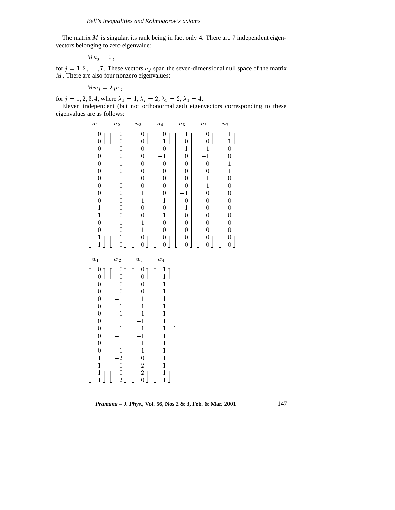The matrix  $M$  is singular, its rank being in fact only 4. There are 7 independent eigenvectors belonging to zero eigenvalue:

$$
M u_j = 0 \,,
$$

for  $j = 1, 2, \ldots, 7$ . These vectors  $u_j$  span the seven-dimensional null space of the matrix M. There are also four nonzero eigenvalues:

$$
M w_j = \lambda_j w_j ,
$$

for  $j = 1, 2, 3, 4$ , where  $\lambda_1 = 1, \lambda_2 = 2, \lambda_3 = 2, \lambda_4 = 4$ .

Eleven independent (but not orthonormalized) eigenvectors corresponding to these eigenvalues are as follows:

| $u_1$                                                                                                                                                                                                                                                                                               | $u_2$                                                                                                                                                                                                                                                                                     | $\boldsymbol{u}_3$                                                                                                                                                                                                                                                                       | $\boldsymbol{u}_4$                                                                                                                                                                                                                                                                                  | $u_{5}$                                                                                                                                                                                                                                                                                | $\boldsymbol{u_6}$                                                                                                                                                                                                                                                              | $u_7$                                                                                                                                                                                                                                                                     |  |
|-----------------------------------------------------------------------------------------------------------------------------------------------------------------------------------------------------------------------------------------------------------------------------------------------------|-------------------------------------------------------------------------------------------------------------------------------------------------------------------------------------------------------------------------------------------------------------------------------------------|------------------------------------------------------------------------------------------------------------------------------------------------------------------------------------------------------------------------------------------------------------------------------------------|-----------------------------------------------------------------------------------------------------------------------------------------------------------------------------------------------------------------------------------------------------------------------------------------------------|----------------------------------------------------------------------------------------------------------------------------------------------------------------------------------------------------------------------------------------------------------------------------------------|---------------------------------------------------------------------------------------------------------------------------------------------------------------------------------------------------------------------------------------------------------------------------------|---------------------------------------------------------------------------------------------------------------------------------------------------------------------------------------------------------------------------------------------------------------------------|--|
| $\boldsymbol{0}$<br>$\boldsymbol{0}$<br>$\overline{0}$<br>$\overline{0}$<br>$\overline{0}$<br>$\overline{0}$<br>$\boldsymbol{0}$<br>$\boldsymbol{0}$<br>$\boldsymbol{0}$<br>$\boldsymbol{0}$<br>$\mathbf 1$<br>$\overline{1}$<br>$\overline{0}$<br>$\boldsymbol{0}$<br>$\mathbf{1}$<br>$\mathbf{1}$ | $\boldsymbol{0}$<br>$\boldsymbol{0}$<br>$\overline{0}$<br>$\overline{0}$<br>$\mathbf{1}$<br>$\overline{0}$<br>$\mathbf{1}$<br>$\mathbf 0$<br>$\overline{0}$<br>$\overline{0}$<br>$\boldsymbol{0}$<br>$\overline{0}$<br>$\mathbf{1}$<br>$\boldsymbol{0}$<br>$\mathbf{1}$<br>$\overline{0}$ | $\boldsymbol{0}$<br>$\boldsymbol{0}$<br>$\overline{0}$<br>$\overline{0}$<br>$\overline{0}$<br>$\overline{0}$<br>$\overline{0}$<br>$\boldsymbol{0}$<br>$\mathbf{1}$<br>$\mathbf{1}$<br>$\mathbf 0$<br>$\overline{0}$<br>$\mathbf{1}$<br>$\mathbf 1$<br>$\boldsymbol{0}$<br>$\overline{0}$ | $\boldsymbol{0}$<br>$\mathbf{1}$<br>$\overline{0}$<br>$\mathbf{1}$<br>$\overline{0}$<br>$\overline{0}$<br>$\boldsymbol{0}$<br>$\boldsymbol{0}$<br>$\boldsymbol{0}$<br>$\mathbf 1$<br>$\boldsymbol{0}$<br>$\mathbf{1}$<br>$\boldsymbol{0}$<br>$\boldsymbol{0}$<br>$\boldsymbol{0}$<br>$\overline{0}$ | $\mathbf{1}$<br>$\overline{0}$<br>$\mathbf{1}$<br>$\overline{0}$<br>$\overline{0}$<br>$\overline{0}$<br>$\overline{0}$<br>$\overline{0}$<br>$\mathbf{1}$<br>$\overline{0}$<br>$\mathbf{1}$<br>$\overline{0}$<br>$\overline{0}$<br>$\boldsymbol{0}$<br>$\overline{0}$<br>$\overline{0}$ | $\theta$<br>0<br>$\mathbf{1}$<br>$\mathbf{1}$<br>$\overline{0}$<br>$\overline{0}$<br>$\mathbf{1}$<br>$\mathbf{1}$<br>$\boldsymbol{0}$<br>$\boldsymbol{0}$<br>$\boldsymbol{0}$<br>$\boldsymbol{0}$<br>$\boldsymbol{0}$<br>$\boldsymbol{0}$<br>$\boldsymbol{0}$<br>$\overline{0}$ | 1<br>$\mathbf{1}$<br>$\overline{0}$<br>$\boldsymbol{0}$<br>$\mathbf{1}$<br>$\mathbf{1}$<br>$\mathbf 0$<br>$\boldsymbol{0}$<br>$\mathbf 0$<br>$\mathbf 0$<br>$\boldsymbol{0}$<br>$\mathbf 0$<br>$\boldsymbol{0}$<br>$\boldsymbol{0}$<br>$\boldsymbol{0}$<br>$\overline{0}$ |  |
| $w_1$                                                                                                                                                                                                                                                                                               | $w_2$                                                                                                                                                                                                                                                                                     | $\boldsymbol{w}_3$                                                                                                                                                                                                                                                                       | $\boldsymbol{w}_4$                                                                                                                                                                                                                                                                                  |                                                                                                                                                                                                                                                                                        |                                                                                                                                                                                                                                                                                 |                                                                                                                                                                                                                                                                           |  |
| $\boldsymbol{0}$<br>$\boldsymbol{0}$<br>$\mathbf 0$<br>$\mathbf 0$<br>$\boldsymbol{0}$<br>$\boldsymbol{0}$<br>$\boldsymbol{0}$<br>$\overline{0}$<br>$\overline{0}$<br>$\overline{0}$<br>$\boldsymbol{0}$<br>$\overline{0}$<br>$\mathbf{1}$<br>$\mathbf{1}$<br>$-1$                                  | $\boldsymbol{0}$<br>$\overline{0}$<br>$\overline{0}$<br>$\overline{0}$<br>$\mathbf{1}$<br>$\mathbf{1}$<br>$\mathbf{1}$<br>$\mathbf{1}$<br>$\mathbf{1}$<br>$\mathbf{1}$<br>$\mathbf{1}$<br>$\mathbf{1}$<br>$\overline{2}$<br>$\mathbf 0$<br>$\mathbf 0$                                    | $\boldsymbol{0}$<br>$\overline{0}$<br>$\overline{0}$<br>$\overline{0}$<br>$\mathbf{1}$<br>$\mathbf{1}$<br>$\mathbf{1}$<br>$\mathbf{1}$<br>$-1$<br>$\cdot$ 1<br>$\mathbf{1}$<br>$\mathbf{1}$<br>$\mathbf 0$<br>$\frac{2}{2}$                                                              | $\mathbf{1}$<br>$\mathbf 1$<br>$\mathbf{1}$<br>$\mathbf{1}$<br>$\mathbf{1}$<br>$\mathbf{1}$<br>$\mathbf{1}$<br>$\mathbf{1}$<br>$\mathbf{1}$<br>$\mathbf{1}$<br>$\mathbf{1}$<br>$\mathbf{1}$<br>$\mathbf{1}$<br>$\frac{1}{1}$                                                                        |                                                                                                                                                                                                                                                                                        |                                                                                                                                                                                                                                                                                 |                                                                                                                                                                                                                                                                           |  |

*Pramana – J. Phys.,* **Vol. 56, Nos 2 & 3, Feb. & Mar. 2001** 147

<sup>2</sup> <sup>0</sup> <sup>1</sup>

 The contract of the contract of the contract of the contract of the contract of the contract of the contract of The contract of the contract of the contract of the contract of the contract of the contract of the contract of The contract of the contract of the contract of the contract of the contract of the contract of the contract of The contract of the contract of the contract of the contract of the contract of the contract of the contract of The contract of the contract of the contract of the contract of the contract of the contract of the contract of The contract of the contract of the contract of the contract of the contract of the contract of the contract of The contract of the contract of the contract of the contract of the contract of the contract of the contract of The contract of the contract of the contract of the contract of the contract of the contract of the contract of The contract of the contract of the contract of the contract of the contract of the contract of the contract of The contract of the contract of the contract of the contract of the contract of the contract of the contract of The contract of the contract of the contract of the contract of the contract of the contract of the contract of The contract of the contract of the contract of the contract of the contract of the contract of the contract of The contract of the contract of the contract of the contract of the contract of the contract of the contract of The contract of the contract of the contract of the contract of the contract of the contract of the contract of The contract of the contract of the contract of the contract of the contract of the contract of the contract of The contract of the contract of the contract of the contract of the contract of the contract of the contract of The contract of the contract of the contract of the contract of the contract of the contract of the contract of The contract of the contract of the contract of the contract of the contract of the contract of the contract of The contract of the contract of the contract of the contract of the contract of the contract of the contract of The contract of the contract of the contract of the contract of the contract of the contract of the contract of The contract of the contract of the contract of the contract of the contract of the contract of the contract of The contract of the contract of the contract of the contract of the contract of the contract of the contract of The contract of the contract of the contract of the contract of the contract of the contract of the contract of The contract of the contract of the contract of the contract of the contract of the contract of the contract of **Service Contract Contract Contract Contract Contract Contract Contract Contract Contract Contract Contract Contract Contract Contract Contract Contract Contract Contract Contract Contract Contract Contract Contract Contra**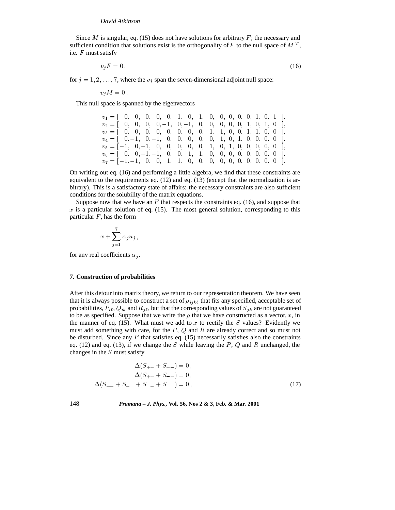Since M is singular, eq. (15) does not have solutions for arbitrary  $F$ ; the necessary and sufficient condition that solutions exist is the orthogonality of F to the null space of M<sup>T</sup>, i.e. F must satisfy

$$
v_j F = 0,\t\t(16)
$$

for  $j = 1, 2, \ldots, 7$ , where the  $v_j$  span the seven-dimensional adjoint null space:

$$
v_j M = 0.
$$

This null space is spanned by the eigenvectors

| $v_1 = [0, 0, 0, 0, 0, -1, 0, -1, 0, 0, 0, 0, 0, 1, 0, 1],$ |  |  |  |  |  |  |
|-------------------------------------------------------------|--|--|--|--|--|--|
| $v_2 = [0, 0, 0, 0, -1, 0, -1, 0, 0, 0, 0, 0, 1, 0, 1, 0],$ |  |  |  |  |  |  |
| $v_3 = [0, 0, 0, 0, 0, 0, 0, 0, -1, -1, 0, 0, 1, 1, 0, 0],$ |  |  |  |  |  |  |
| $v_4 = [0, -1, 0, -1, 0, 0, 0, 0, 0, 1, 0, 1, 0, 0, 0, 0],$ |  |  |  |  |  |  |
| $v_5 = [-1, 0, -1, 0, 0, 0, 0, 0, 1, 0, 1, 0, 0, 0, 0, 0]$  |  |  |  |  |  |  |
| $v_6 = [0, 0, -1, -1, 0, 0, 1, 1, 0, 0, 0, 0, 0, 0, 0, 0]$  |  |  |  |  |  |  |
| $v_7 = [-1, -1, 0, 0, 1, 1, 0, 0, 0, 0, 0, 0, 0, 0, 0, 0]$  |  |  |  |  |  |  |

On writing out eq. (16) and performing a little algebra, we find that these constraints are equivalent to the requirements eq. (12) and eq. (13) (except that the normalization is arbitrary). This is a satisfactory state of affairs: the necessary constraints are also sufficient conditions for the solubility of the matrix equations.

Suppose now that we have an  $F$  that respects the constraints eq. (16), and suppose that  $x$  is a particular solution of eq. (15). The most general solution, corresponding to this particular  $F$ , has the form

$$
x+\sum_{j=1}^7\alpha_ju_j\,,
$$

for any real coefficients  $\alpha_j$ .

## **7. Construction of probabilities**

After this detour into matrix theory, we return to our representation theorem. We have seen that it is always possible to construct a set of  $\rho_{ijk\ell}$  that fits any specified, acceptable set of probabilities,  $P_{i\ell}$ ,  $Q_{ik}$  and  $R_{j\ell}$ , but that the corresponding values of  $S_{jk}$  are not guaranteed to be as specified. Suppose that we write the  $\rho$  that we have constructed as a vector, x, in the manner of eq. (15). What must we add to x to rectify the S values? Evidently we must add something with care, for the  $P$ ,  $Q$  and  $R$  are already correct and so must not be disturbed. Since any  $F$  that satisfies eq. (15) necessarily satisfies also the constraints eq. (12) and eq. (13), if we change the S while leaving the P, Q and R unchanged, the changes in the S must satisfy

$$
\Delta(S_{++} + S_{+-}) = 0,
$$
  
\n
$$
\Delta(S_{++} + S_{-+}) = 0,
$$
  
\n
$$
\Delta(S_{++} + S_{+-} + S_{-+} + S_{--}) = 0,
$$
\n(17)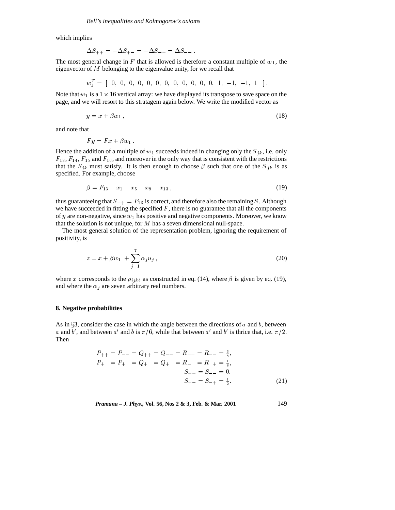which implies

$$
\Delta S_{++} = -\Delta S_{+-} = -\Delta S_{-+} = \Delta S_{--} \, .
$$

The most general change in F that is allowed is therefore a constant multiple of  $w_1$ , the eigenvector of M belonging to the eigenvalue unity, for we recall that

w<sup>T</sup> <sup>1</sup> <sup>=</sup> [ 0; 0; 0; 0; 0; 0; 0; 0; 0; 0; 0; 0; 1; 1; 1; <sup>1</sup> ] :

Note that  $w_1$  is a  $1 \times 16$  vertical array: we have displayed its transpose to save space on the page, and we will resort to this stratagem again below. We write the modified vector as

$$
y = x + \beta w_1 \,,\tag{18}
$$

and note that

$$
F y = F x + \beta w_1.
$$

Hence the addition of a multiple of  $w_1$  succeeds indeed in changing only the  $S_{jk}$ , i.e. only  $F_{13}$ ,  $F_{14}$ ,  $F_{15}$  and  $F_{16}$ , and moreover in the only way that is consistent with the restrictions that the  $S_{jk}$  must satisfy. It is then enough to choose  $\beta$  such that one of the  $S_{jk}$  is as specified. For example, choose

$$
\beta = F_{13} - x_1 - x_5 - x_9 - x_{13} \,, \tag{19}
$$

thus guaranteeing that  $S_{++} = F_{13}$  is correct, and therefore also the remaining S. Although we have succeeded in fitting the specified  $F$ , there is no guarantee that all the components of  $y$  are non-negative, since  $w_1$  has positive and negative components. Moreover, we know that the solution is not unique, for  $M$  has a seven dimensional null-space.

The most general solution of the representation problem, ignoring the requirement of positivity, is

$$
z = x + \beta w_1 + \sum_{j=1}^{7} \alpha_j u_j , \qquad (20)
$$

where x corresponds to the  $\rho_{ijk\ell}$  as constructed in eq. (14), where  $\beta$  is given by eq. (19), and where the  $\alpha_j$  are seven arbitrary real numbers.

## **8. Negative probabilities**

As in  $\S$ 3, consider the case in which the angle between the directions of a and b, between a and b', and between a' and b is  $\pi/6$ , while that between a' and b' is thrice that, i.e.  $\pi/2$ . Then

$$
P_{++} = P_{--} = Q_{++} = Q_{--} = R_{++} = R_{--} = \frac{3}{8},
$$
  
\n
$$
P_{+-} = P_{+-} = Q_{+-} = Q_{+-} = R_{+-} = R_{-+} = \frac{1}{8},
$$
  
\n
$$
S_{++} = S_{--} = 0,
$$
  
\n
$$
S_{+-} = S_{-+} = \frac{1}{2}.
$$
 (21)

*Pramana – J. Phys.,* **Vol. 56, Nos 2 & 3, Feb. & Mar. 2001** 149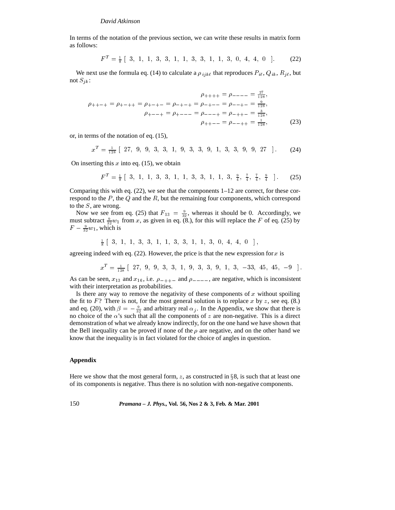In terms of the notation of the previous section, we can write these results in matrix form as follows:

$$
FT = \frac{1}{8} [3, 1, 1, 3, 3, 1, 1, 3, 3, 1, 1, 3, 0, 4, 4, 0]. \tag{22}
$$

We next use the formula eq. (14) to calculate a  $\rho_{ijk\ell}$  that reproduces  $P_{i\ell}$ ,  $Q_{ik}$ ,  $R_{j\ell}$ , but not  $S_{ik}$ :

$$
\rho_{+++} = \rho_{---} = \frac{27}{128},
$$
\n
$$
\rho_{+++} = \rho_{+++} = \rho_{---} = \rho_{---} = \frac{9}{128},
$$
\n
$$
\rho_{+---} = \rho_{+---} = \rho_{---} = \rho_{---} = \frac{9}{128},
$$
\n
$$
\rho_{+---} = \rho_{+---} = \rho_{---} = \rho_{-++} = \frac{3}{128},
$$
\n
$$
\rho_{++---} = \rho_{---+} = \rho_{-++} = \frac{1}{128},
$$
\n(23)

or, in terms of the notation of eq. (15),

 $x^T = \frac{1}{128} [ 27, 9, 9, 3, 3, 1, 9, 3, 3, 9, 1, 3, 3, 9, 9, 27 ]$ . (24)

On inserting this  $x$  into eq. (15), we obtain

$$
F^T = \frac{1}{8} [3, 1, 1, 3, 3, 1, 1, 3, 3, 1, 1, 3, \frac{9}{4}, \frac{7}{4}, \frac{7}{4}, \frac{9}{4} ].
$$
 (25)

Comparing this with eq.  $(22)$ , we see that the components  $1-12$  are correct, for these correspond to the  $P$ , the  $Q$  and the  $R$ , but the remaining four components, which correspond to the  $S$ , are wrong.

Now we see from eq. (25) that  $F_{13} = \frac{9}{32}$ , whereas it should be 0. Accordingly, we must subtract  $\frac{9}{32}w_1$  from x, as given in eq. (8.), for this will replace the F of eq. (25) by  $F - \frac{9}{32}w_1$ , which is

$$
\frac{1}{8}
$$
 [ 3, 1, 1, 3, 3, 1, 1, 3, 3, 1, 1, 3, 0, 4, 4, 0 ],

agreeing indeed with eq. (22). However, the price is that the new expression for  $x$  is

 $x^2 = \frac{1}{128}$  [ 27, 9, 9, 3, 3, 1, 9, 3, 3, 9, 1, 3, -33, 45, 40, -9 ].

As can be seen,  $x_{13}$  and  $x_{16}$ , i.e.  $\rho_{-++-}$  and  $\rho_{---}$ , are negative, which is inconsistent with their interpretation as probabilities.

Is there any way to remove the negativity of these components of  $x$  without spoiling the fit to  $F$ ? There is not, for the most general solution is to replace x by z, see eq. (8.) and eq. (20), with  $\beta = -\frac{9}{32}$  and arbitrary real  $\alpha_j$ . In the Appendix, we show that there is no choice of the  $\alpha$ 's such that all the components of z are non-negative. This is a direct demonstration of what we already know indirectly, for on the one hand we have shown that the Bell inequality can be proved if none of the  $\rho$  are negative, and on the other hand we know that the inequality is in fact violated for the choice of angles in question.

# **Appendix**

Here we show that the most general form, z, as constructed in  $\S 8$ , is such that at least one of its components is negative. Thus there is no solution with non-negative components.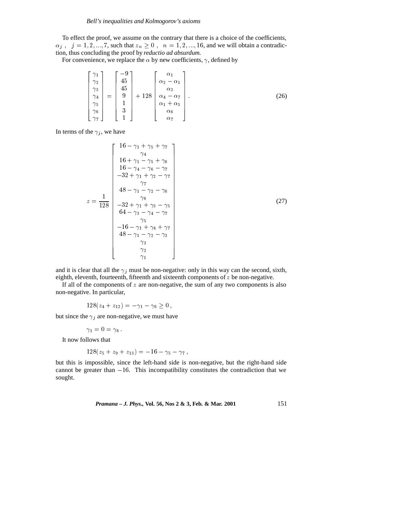To effect the proof, we assume on the contrary that there is a choice of the coefficients,  $\alpha_j$ ,  $j = 1, 2, \ldots, 7$ , such that  $z_n \geq 0$ ,  $n = 1, 2, \ldots, 16$ , and we will obtain a contradiction, thus concluding the proof by *reductio ad absurdum.*

For convenience, we replace the  $\alpha$  by new coefficients,  $\gamma$ , defined by

$$
\begin{bmatrix}\n\gamma_1 \\
\gamma_2 \\
\gamma_3 \\
\gamma_4 \\
\gamma_5 \\
\gamma_6 \\
\gamma_7\n\end{bmatrix} = \begin{bmatrix}\n-9 \\
45 \\
45 \\
9 \\
1 \\
1 \\
3 \\
1\n\end{bmatrix} + 128 \begin{bmatrix}\n\alpha_1 \\
\alpha_2 - \alpha_1 \\
\alpha_3 \\
\alpha_4 - \alpha_7 \\
\alpha_1 + \alpha_5 \\
\alpha_6 \\
\alpha_7\n\end{bmatrix}.
$$
\n(26)

In terms of the  $\gamma_j$ , we have

$$
z = \frac{1}{18} \begin{bmatrix} 16 - \gamma_1 + \gamma_5 + \gamma_7 \\ \gamma_4 \\ 16 + \gamma_1 - \gamma_5 + \gamma_6 \\ 16 - \gamma_4 - \gamma_6 - \gamma_7 \\ -32 + \gamma_1 + \gamma_2 - \gamma_7 \\ \gamma_7 \\ 48 - \gamma_1 - \gamma_2 - \gamma_6 \\ \gamma_6 \\ -32 + \gamma_1 + \gamma_3 - \gamma_5 \\ 64 - \gamma_3 - \gamma_4 - \gamma_7 \\ \gamma_5 \\ -16 - \gamma_1 + \gamma_4 + \gamma_7 \\ 48 - \gamma_1 - \gamma_2 - \gamma_3 \\ \gamma_3 \\ \gamma_2 \\ \gamma_1 \end{bmatrix} \qquad (27)
$$

and it is clear that all the  $\gamma_i$  must be non-negative: only in this way can the second, sixth, eighth, eleventh, fourteenth, fifteenth and sixteenth components of  $z$  be non-negative.

If all of the components of  $z$  are non-negative, the sum of any two components is also non-negative. In particular,

$$
128(z_4 + z_{12}) = -\gamma_1 - \gamma_6 \geq 0,
$$

but since the  $\gamma_j$  are non-negative, we must have

$$
\gamma_1=0=\gamma_6.
$$

It now follows that

$$
128(z_5 + z_9 + z_{13}) = -16 - \gamma_5 - \gamma_7,
$$

but this is impossible, since the left-hand side is non-negative, but the right-hand side cannot be greater than  $-16$ . This incompatibility constitutes the contradiction that we sought.

*Pramana – J. Phys.,* **Vol. 56, Nos 2 & 3, Feb. & Mar. 2001** 151